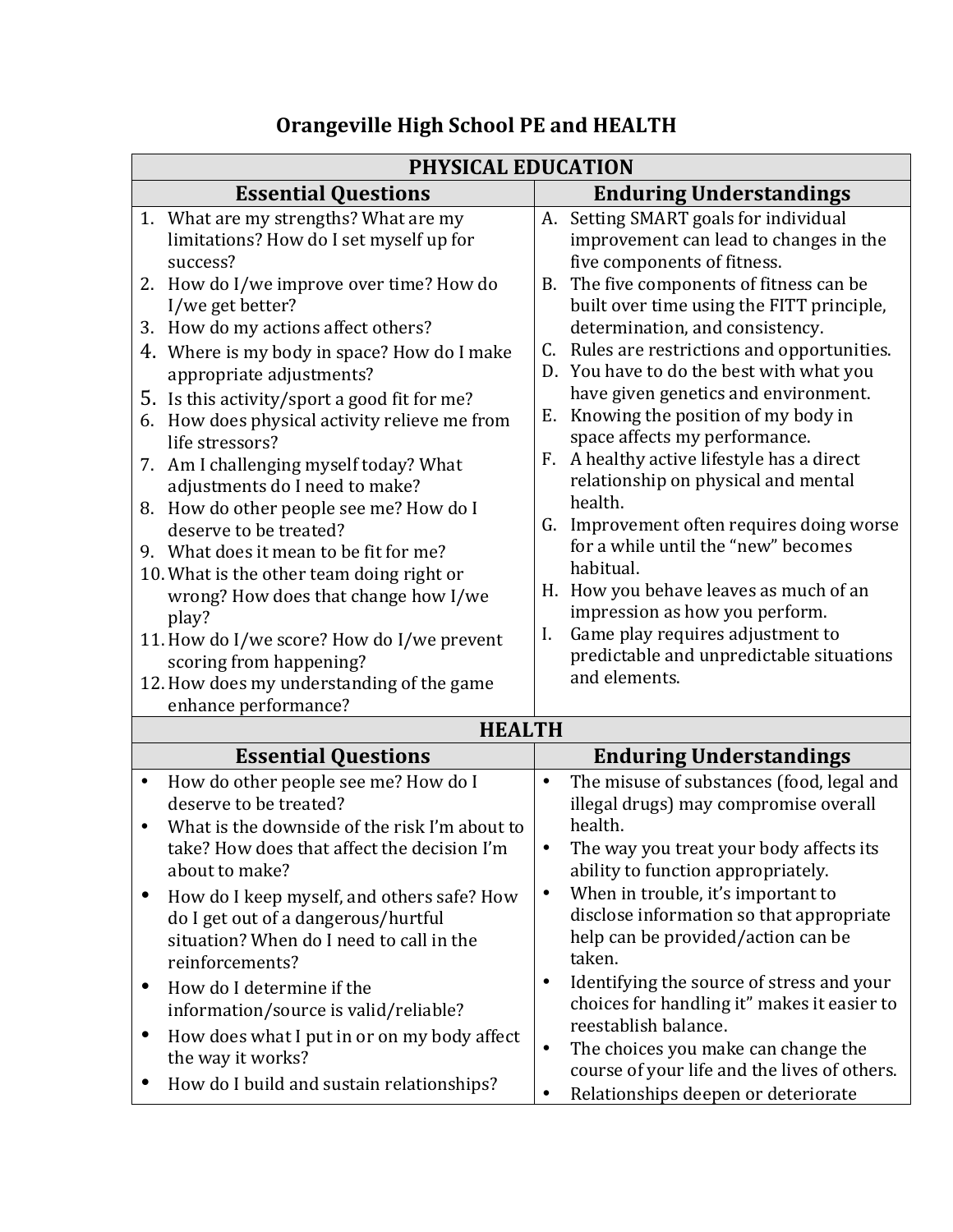| PHYSICAL EDUCATION                                                                                                                               |                                                                                                                                             |
|--------------------------------------------------------------------------------------------------------------------------------------------------|---------------------------------------------------------------------------------------------------------------------------------------------|
| <b>Essential Questions</b>                                                                                                                       | <b>Enduring Understandings</b>                                                                                                              |
| 1. What are my strengths? What are my<br>limitations? How do I set myself up for<br>success?                                                     | A. Setting SMART goals for individual<br>improvement can lead to changes in the<br>five components of fitness.                              |
| 2. How do I/we improve over time? How do<br>I/we get better?                                                                                     | The five components of fitness can be<br>В.<br>built over time using the FITT principle,                                                    |
| 3. How do my actions affect others?<br>4. Where is my body in space? How do I make                                                               | determination, and consistency.<br>Rules are restrictions and opportunities.<br>C.                                                          |
| appropriate adjustments?<br>5. Is this activity/sport a good fit for me?                                                                         | D. You have to do the best with what you<br>have given genetics and environment.                                                            |
| 6. How does physical activity relieve me from<br>life stressors?                                                                                 | Knowing the position of my body in<br>Е.<br>space affects my performance.                                                                   |
| 7. Am I challenging myself today? What<br>adjustments do I need to make?                                                                         | A healthy active lifestyle has a direct<br>F.<br>relationship on physical and mental                                                        |
| 8. How do other people see me? How do I<br>deserve to be treated?                                                                                | health.<br>G. Improvement often requires doing worse<br>for a while until the "new" becomes                                                 |
| 9. What does it mean to be fit for me?<br>10. What is the other team doing right or                                                              | habitual.<br>H. How you behave leaves as much of an                                                                                         |
| wrong? How does that change how I/we<br>play?                                                                                                    | impression as how you perform.<br>Game play requires adjustment to<br>I.                                                                    |
| 11. How do I/we score? How do I/we prevent<br>scoring from happening?                                                                            | predictable and unpredictable situations<br>and elements.                                                                                   |
| 12. How does my understanding of the game<br>enhance performance?                                                                                |                                                                                                                                             |
| <b>HEALTH</b>                                                                                                                                    |                                                                                                                                             |
| <b>Essential Questions</b>                                                                                                                       | <b>Enduring Understandings</b>                                                                                                              |
| How do other people see me? How do I<br>$\bullet$                                                                                                | The misuse of substances (food, legal and<br>$\bullet$                                                                                      |
| deserve to be treated?<br>What is the downside of the risk I'm about to                                                                          | illegal drugs) may compromise overall<br>health.                                                                                            |
| take? How does that affect the decision I'm<br>about to make?                                                                                    | The way you treat your body affects its<br>ability to function appropriately.                                                               |
| How do I keep myself, and others safe? How<br>do I get out of a dangerous/hurtful<br>situation? When do I need to call in the<br>reinforcements? | When in trouble, it's important to<br>$\bullet$<br>disclose information so that appropriate<br>help can be provided/action can be<br>taken. |
| How do I determine if the<br>$\bullet$<br>information/source is valid/reliable?                                                                  | Identifying the source of stress and your<br>$\bullet$<br>choices for handling it" makes it easier to<br>reestablish balance.               |
| How does what I put in or on my body affect<br>$\bullet$<br>the way it works?                                                                    | The choices you make can change the<br>$\bullet$<br>course of your life and the lives of others.                                            |
| How do I build and sustain relationships?                                                                                                        | Relationships deepen or deteriorate                                                                                                         |

## **Orangeville High School PE and HEALTH**